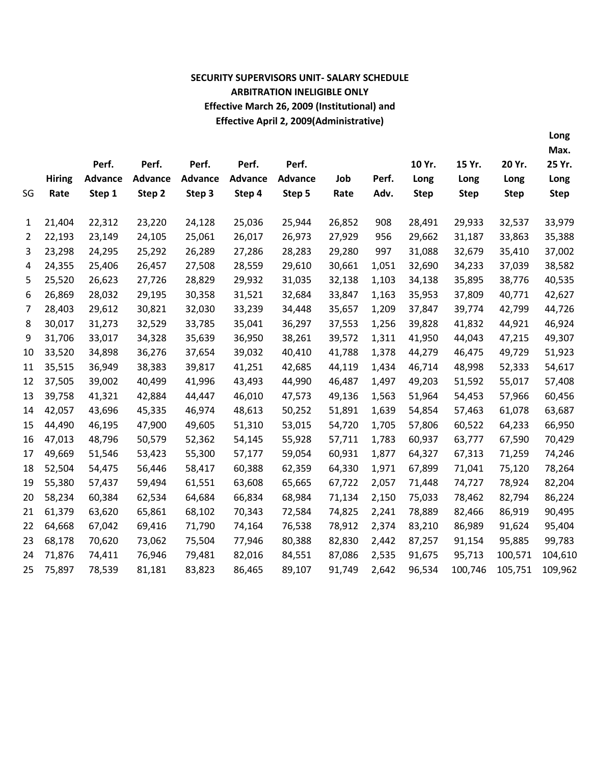# **SECURITY SUPERVISORS UNIT- SALARY SCHEDULE ARBITRATION INELIGIBLE ONLY Effective March 26, 2009 (Institutional) and Effective April 2, 2009(Administrative)**

**Long Max.**

|    |               | Perf.          | Perf.          | Perf.          | Perf.          | Perf.          |        |       | 10 Yr.      | 15 Yr.      | 20 Yr.      | 25 Yr.      |
|----|---------------|----------------|----------------|----------------|----------------|----------------|--------|-------|-------------|-------------|-------------|-------------|
|    | <b>Hiring</b> | <b>Advance</b> | <b>Advance</b> | <b>Advance</b> | <b>Advance</b> | <b>Advance</b> | Job    | Perf. | Long        | Long        | Long        | Long        |
| SG | Rate          | Step 1         | Step 2         | Step 3         | Step 4         | Step 5         | Rate   | Adv.  | <b>Step</b> | <b>Step</b> | <b>Step</b> | <b>Step</b> |
|    |               |                |                |                |                |                |        |       |             |             |             |             |
| 1  | 21,404        | 22,312         | 23,220         | 24,128         | 25,036         | 25,944         | 26,852 | 908   | 28,491      | 29,933      | 32,537      | 33,979      |
| 2  | 22,193        | 23,149         | 24,105         | 25,061         | 26,017         | 26,973         | 27,929 | 956   | 29,662      | 31,187      | 33,863      | 35,388      |
| 3  | 23,298        | 24,295         | 25,292         | 26,289         | 27,286         | 28,283         | 29,280 | 997   | 31,088      | 32,679      | 35,410      | 37,002      |
| 4  | 24,355        | 25,406         | 26,457         | 27,508         | 28,559         | 29,610         | 30,661 | 1,051 | 32,690      | 34,233      | 37,039      | 38,582      |
| 5  | 25,520        | 26,623         | 27,726         | 28,829         | 29,932         | 31,035         | 32,138 | 1,103 | 34,138      | 35,895      | 38,776      | 40,535      |
| 6  | 26,869        | 28,032         | 29,195         | 30,358         | 31,521         | 32,684         | 33,847 | 1,163 | 35,953      | 37,809      | 40,771      | 42,627      |
| 7  | 28,403        | 29,612         | 30,821         | 32,030         | 33,239         | 34,448         | 35,657 | 1,209 | 37,847      | 39,774      | 42,799      | 44,726      |
| 8  | 30,017        | 31,273         | 32,529         | 33,785         | 35,041         | 36,297         | 37,553 | 1,256 | 39,828      | 41,832      | 44,921      | 46,924      |
| 9  | 31,706        | 33,017         | 34,328         | 35,639         | 36,950         | 38,261         | 39,572 | 1,311 | 41,950      | 44,043      | 47,215      | 49,307      |
| 10 | 33,520        | 34,898         | 36,276         | 37,654         | 39,032         | 40,410         | 41,788 | 1,378 | 44,279      | 46,475      | 49,729      | 51,923      |
| 11 | 35,515        | 36,949         | 38,383         | 39,817         | 41,251         | 42,685         | 44,119 | 1,434 | 46,714      | 48,998      | 52,333      | 54,617      |
| 12 | 37,505        | 39,002         | 40,499         | 41,996         | 43,493         | 44,990         | 46,487 | 1,497 | 49,203      | 51,592      | 55,017      | 57,408      |
| 13 | 39,758        | 41,321         | 42,884         | 44,447         | 46,010         | 47,573         | 49,136 | 1,563 | 51,964      | 54,453      | 57,966      | 60,456      |
| 14 | 42,057        | 43,696         | 45,335         | 46,974         | 48,613         | 50,252         | 51,891 | 1,639 | 54,854      | 57,463      | 61,078      | 63,687      |
| 15 | 44,490        | 46,195         | 47,900         | 49,605         | 51,310         | 53,015         | 54,720 | 1,705 | 57,806      | 60,522      | 64,233      | 66,950      |
| 16 | 47,013        | 48,796         | 50,579         | 52,362         | 54,145         | 55,928         | 57,711 | 1,783 | 60,937      | 63,777      | 67,590      | 70,429      |
| 17 | 49,669        | 51,546         | 53,423         | 55,300         | 57,177         | 59,054         | 60,931 | 1,877 | 64,327      | 67,313      | 71,259      | 74,246      |
| 18 | 52,504        | 54,475         | 56,446         | 58,417         | 60,388         | 62,359         | 64,330 | 1,971 | 67,899      | 71,041      | 75,120      | 78,264      |
| 19 | 55,380        | 57,437         | 59,494         | 61,551         | 63,608         | 65,665         | 67,722 | 2,057 | 71,448      | 74,727      | 78,924      | 82,204      |
| 20 | 58,234        | 60,384         | 62,534         | 64,684         | 66,834         | 68,984         | 71,134 | 2,150 | 75,033      | 78,462      | 82,794      | 86,224      |
| 21 | 61,379        | 63,620         | 65,861         | 68,102         | 70,343         | 72,584         | 74,825 | 2,241 | 78,889      | 82,466      | 86,919      | 90,495      |
| 22 | 64,668        | 67,042         | 69,416         | 71,790         | 74,164         | 76,538         | 78,912 | 2,374 | 83,210      | 86,989      | 91,624      | 95,404      |
| 23 | 68,178        | 70,620         | 73,062         | 75,504         | 77,946         | 80,388         | 82,830 | 2,442 | 87,257      | 91,154      | 95,885      | 99,783      |
| 24 | 71,876        | 74,411         | 76,946         | 79,481         | 82,016         | 84,551         | 87,086 | 2,535 | 91,675      | 95,713      | 100,571     | 104,610     |
| 25 | 75,897        | 78,539         | 81,181         | 83,823         | 86,465         | 89,107         | 91,749 | 2,642 | 96,534      | 100,746     | 105,751     | 109,962     |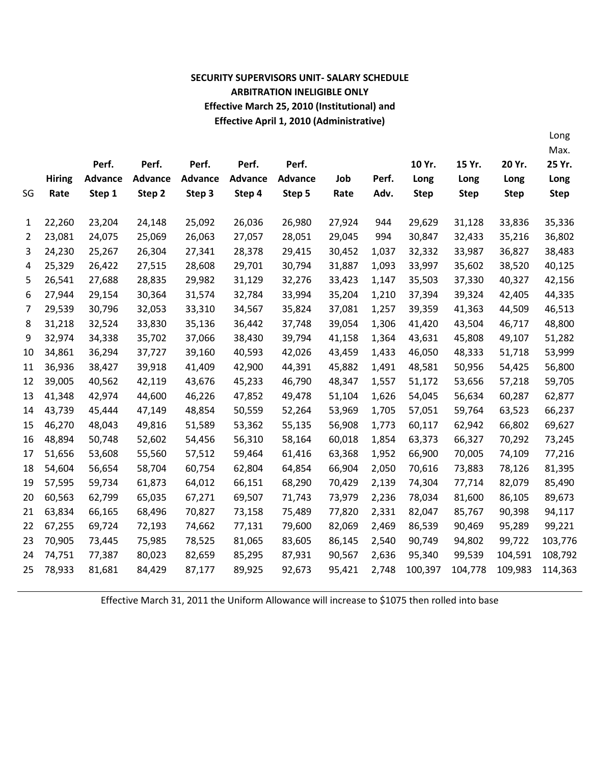### **SECURITY SUPERVISORS UNIT- SALARY SCHEDULE ARBITRATION INELIGIBLE ONLY Effective March 25, 2010 (Institutional) and Effective April 1, 2010 (Administrative)**

Long

|    |               |                |                |                |                |                |        |       |             |             |             | Max.        |
|----|---------------|----------------|----------------|----------------|----------------|----------------|--------|-------|-------------|-------------|-------------|-------------|
|    |               | Perf.          | Perf.          | Perf.          | Perf.          | Perf.          |        |       | 10 Yr.      | 15 Yr.      | 20 Yr.      | 25 Yr.      |
|    | <b>Hiring</b> | <b>Advance</b> | <b>Advance</b> | <b>Advance</b> | <b>Advance</b> | <b>Advance</b> | Job    | Perf. | Long        | Long        | Long        | Long        |
| SG | Rate          | Step 1         | Step 2         | Step 3         | Step 4         | Step 5         | Rate   | Adv.  | <b>Step</b> | <b>Step</b> | <b>Step</b> | <b>Step</b> |
|    |               |                |                |                |                |                |        |       |             |             |             |             |
| 1  | 22,260        | 23,204         | 24,148         | 25,092         | 26,036         | 26,980         | 27,924 | 944   | 29,629      | 31,128      | 33,836      | 35,336      |
| 2  | 23,081        | 24,075         | 25,069         | 26,063         | 27,057         | 28,051         | 29,045 | 994   | 30,847      | 32,433      | 35,216      | 36,802      |
| 3  | 24,230        | 25,267         | 26,304         | 27,341         | 28,378         | 29,415         | 30,452 | 1,037 | 32,332      | 33,987      | 36,827      | 38,483      |
| 4  | 25,329        | 26,422         | 27,515         | 28,608         | 29,701         | 30,794         | 31,887 | 1,093 | 33,997      | 35,602      | 38,520      | 40,125      |
| 5  | 26,541        | 27,688         | 28,835         | 29,982         | 31,129         | 32,276         | 33,423 | 1,147 | 35,503      | 37,330      | 40,327      | 42,156      |
| 6  | 27,944        | 29,154         | 30,364         | 31,574         | 32,784         | 33,994         | 35,204 | 1,210 | 37,394      | 39,324      | 42,405      | 44,335      |
| 7  | 29,539        | 30,796         | 32,053         | 33,310         | 34,567         | 35,824         | 37,081 | 1,257 | 39,359      | 41,363      | 44,509      | 46,513      |
| 8  | 31,218        | 32,524         | 33,830         | 35,136         | 36,442         | 37,748         | 39,054 | 1,306 | 41,420      | 43,504      | 46,717      | 48,800      |
| 9  | 32,974        | 34,338         | 35,702         | 37,066         | 38,430         | 39,794         | 41,158 | 1,364 | 43,631      | 45,808      | 49,107      | 51,282      |
| 10 | 34,861        | 36,294         | 37,727         | 39,160         | 40,593         | 42,026         | 43,459 | 1,433 | 46,050      | 48,333      | 51,718      | 53,999      |
| 11 | 36,936        | 38,427         | 39,918         | 41,409         | 42,900         | 44,391         | 45,882 | 1,491 | 48,581      | 50,956      | 54,425      | 56,800      |
| 12 | 39,005        | 40,562         | 42,119         | 43,676         | 45,233         | 46,790         | 48,347 | 1,557 | 51,172      | 53,656      | 57,218      | 59,705      |
| 13 | 41,348        | 42,974         | 44,600         | 46,226         | 47,852         | 49,478         | 51,104 | 1,626 | 54,045      | 56,634      | 60,287      | 62,877      |
| 14 | 43,739        | 45,444         | 47,149         | 48,854         | 50,559         | 52,264         | 53,969 | 1,705 | 57,051      | 59,764      | 63,523      | 66,237      |
| 15 | 46,270        | 48,043         | 49,816         | 51,589         | 53,362         | 55,135         | 56,908 | 1,773 | 60,117      | 62,942      | 66,802      | 69,627      |
| 16 | 48,894        | 50,748         | 52,602         | 54,456         | 56,310         | 58,164         | 60,018 | 1,854 | 63,373      | 66,327      | 70,292      | 73,245      |
| 17 | 51,656        | 53,608         | 55,560         | 57,512         | 59,464         | 61,416         | 63,368 | 1,952 | 66,900      | 70,005      | 74,109      | 77,216      |
| 18 | 54,604        | 56,654         | 58,704         | 60,754         | 62,804         | 64,854         | 66,904 | 2,050 | 70,616      | 73,883      | 78,126      | 81,395      |
| 19 | 57,595        | 59,734         | 61,873         | 64,012         | 66,151         | 68,290         | 70,429 | 2,139 | 74,304      | 77,714      | 82,079      | 85,490      |
| 20 | 60,563        | 62,799         | 65,035         | 67,271         | 69,507         | 71,743         | 73,979 | 2,236 | 78,034      | 81,600      | 86,105      | 89,673      |
| 21 | 63,834        | 66,165         | 68,496         | 70,827         | 73,158         | 75,489         | 77,820 | 2,331 | 82,047      | 85,767      | 90,398      | 94,117      |
| 22 | 67,255        | 69,724         | 72,193         | 74,662         | 77,131         | 79,600         | 82,069 | 2,469 | 86,539      | 90,469      | 95,289      | 99,221      |
| 23 | 70,905        | 73,445         | 75,985         | 78,525         | 81,065         | 83,605         | 86,145 | 2,540 | 90,749      | 94,802      | 99,722      | 103,776     |
| 24 | 74,751        | 77,387         | 80,023         | 82,659         | 85,295         | 87,931         | 90,567 | 2,636 | 95,340      | 99,539      | 104,591     | 108,792     |
| 25 | 78,933        | 81,681         | 84,429         | 87,177         | 89,925         | 92,673         | 95,421 | 2,748 | 100,397     | 104,778     | 109,983     | 114,363     |
|    |               |                |                |                |                |                |        |       |             |             |             |             |

Effective March 31, 2011 the Uniform Allowance will increase to \$1075 then rolled into base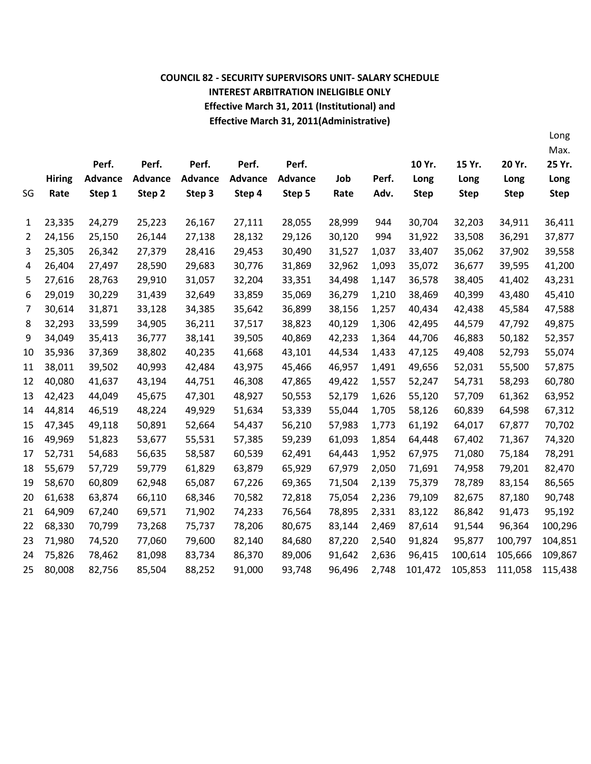### **COUNCIL 82 - SECURITY SUPERVISORS UNIT- SALARY SCHEDULE INTEREST ARBITRATION INELIGIBLE ONLY Effective March 31, 2011 (Institutional) and Effective March 31, 2011(Administrative)**

Long

|    |               |                |                |                |                |                |        |       |             |             |             | Max.        |
|----|---------------|----------------|----------------|----------------|----------------|----------------|--------|-------|-------------|-------------|-------------|-------------|
|    |               | Perf.          | Perf.          | Perf.          | Perf.          | Perf.          |        |       | 10 Yr.      | 15 Yr.      | 20 Yr.      | 25 Yr.      |
|    | <b>Hiring</b> | <b>Advance</b> | <b>Advance</b> | <b>Advance</b> | <b>Advance</b> | <b>Advance</b> | Job    | Perf. | Long        | Long        | Long        | Long        |
| SG | Rate          | Step 1         | Step 2         | Step 3         | Step 4         | Step 5         | Rate   | Adv.  | <b>Step</b> | <b>Step</b> | <b>Step</b> | <b>Step</b> |
|    |               |                |                |                |                |                |        |       |             |             |             |             |
| 1  | 23,335        | 24,279         | 25,223         | 26,167         | 27,111         | 28,055         | 28,999 | 944   | 30,704      | 32,203      | 34,911      | 36,411      |
| 2  | 24,156        | 25,150         | 26,144         | 27,138         | 28,132         | 29,126         | 30,120 | 994   | 31,922      | 33,508      | 36,291      | 37,877      |
| 3  | 25,305        | 26,342         | 27,379         | 28,416         | 29,453         | 30,490         | 31,527 | 1,037 | 33,407      | 35,062      | 37,902      | 39,558      |
| 4  | 26,404        | 27,497         | 28,590         | 29,683         | 30,776         | 31,869         | 32,962 | 1,093 | 35,072      | 36,677      | 39,595      | 41,200      |
| 5  | 27,616        | 28,763         | 29,910         | 31,057         | 32,204         | 33,351         | 34,498 | 1,147 | 36,578      | 38,405      | 41,402      | 43,231      |
| 6  | 29,019        | 30,229         | 31,439         | 32,649         | 33,859         | 35,069         | 36,279 | 1,210 | 38,469      | 40,399      | 43,480      | 45,410      |
| 7  | 30,614        | 31,871         | 33,128         | 34,385         | 35,642         | 36,899         | 38,156 | 1,257 | 40,434      | 42,438      | 45,584      | 47,588      |
| 8  | 32,293        | 33,599         | 34,905         | 36,211         | 37,517         | 38,823         | 40,129 | 1,306 | 42,495      | 44,579      | 47,792      | 49,875      |
| 9  | 34,049        | 35,413         | 36,777         | 38,141         | 39,505         | 40,869         | 42,233 | 1,364 | 44,706      | 46,883      | 50,182      | 52,357      |
| 10 | 35,936        | 37,369         | 38,802         | 40,235         | 41,668         | 43,101         | 44,534 | 1,433 | 47,125      | 49,408      | 52,793      | 55,074      |
| 11 | 38,011        | 39,502         | 40,993         | 42,484         | 43,975         | 45,466         | 46,957 | 1,491 | 49,656      | 52,031      | 55,500      | 57,875      |
| 12 | 40,080        | 41,637         | 43,194         | 44,751         | 46,308         | 47,865         | 49,422 | 1,557 | 52,247      | 54,731      | 58,293      | 60,780      |
| 13 | 42,423        | 44,049         | 45,675         | 47,301         | 48,927         | 50,553         | 52,179 | 1,626 | 55,120      | 57,709      | 61,362      | 63,952      |
| 14 | 44,814        | 46,519         | 48,224         | 49,929         | 51,634         | 53,339         | 55,044 | 1,705 | 58,126      | 60,839      | 64,598      | 67,312      |
| 15 | 47,345        | 49,118         | 50,891         | 52,664         | 54,437         | 56,210         | 57,983 | 1,773 | 61,192      | 64,017      | 67,877      | 70,702      |
| 16 | 49,969        | 51,823         | 53,677         | 55,531         | 57,385         | 59,239         | 61,093 | 1,854 | 64,448      | 67,402      | 71,367      | 74,320      |
| 17 | 52,731        | 54,683         | 56,635         | 58,587         | 60,539         | 62,491         | 64,443 | 1,952 | 67,975      | 71,080      | 75,184      | 78,291      |
| 18 | 55,679        | 57,729         | 59,779         | 61,829         | 63,879         | 65,929         | 67,979 | 2,050 | 71,691      | 74,958      | 79,201      | 82,470      |
| 19 | 58,670        | 60,809         | 62,948         | 65,087         | 67,226         | 69,365         | 71,504 | 2,139 | 75,379      | 78,789      | 83,154      | 86,565      |
| 20 | 61,638        | 63,874         | 66,110         | 68,346         | 70,582         | 72,818         | 75,054 | 2,236 | 79,109      | 82,675      | 87,180      | 90,748      |
| 21 | 64,909        | 67,240         | 69,571         | 71,902         | 74,233         | 76,564         | 78,895 | 2,331 | 83,122      | 86,842      | 91,473      | 95,192      |
| 22 | 68,330        | 70,799         | 73,268         | 75,737         | 78,206         | 80,675         | 83,144 | 2,469 | 87,614      | 91,544      | 96,364      | 100,296     |
| 23 | 71,980        | 74,520         | 77,060         | 79,600         | 82,140         | 84,680         | 87,220 | 2,540 | 91,824      | 95,877      | 100,797     | 104,851     |
| 24 | 75,826        | 78,462         | 81,098         | 83,734         | 86,370         | 89,006         | 91,642 | 2,636 | 96,415      | 100,614     | 105,666     | 109,867     |
| 25 | 80,008        | 82,756         | 85,504         | 88,252         | 91,000         | 93,748         | 96,496 | 2,748 | 101,472     | 105,853     | 111,058     | 115,438     |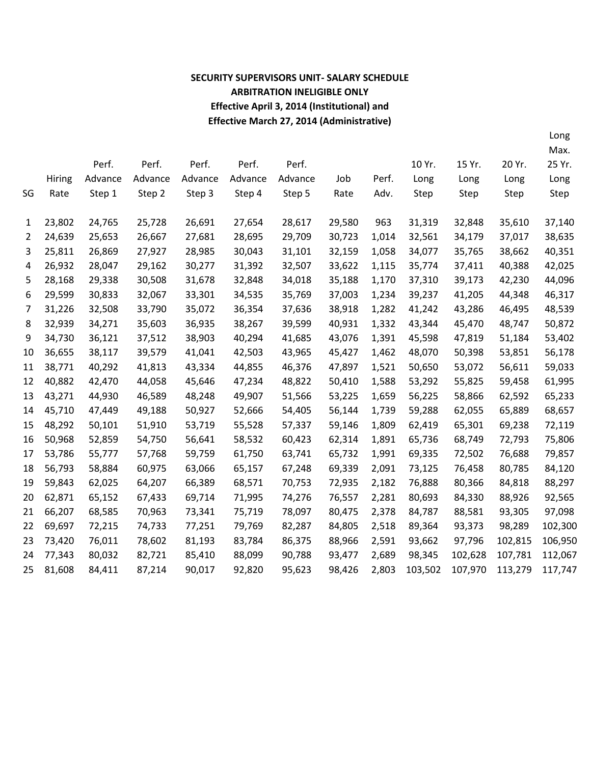# **SECURITY SUPERVISORS UNIT- SALARY SCHEDULE ARBITRATION INELIGIBLE ONLY Effective April 3, 2014 (Institutional) and Effective March 27, 2014 (Administrative)**

Long

|    |               |         |         |         |         |         |        |       |         |         |         | Max.    |
|----|---------------|---------|---------|---------|---------|---------|--------|-------|---------|---------|---------|---------|
|    |               | Perf.   | Perf.   | Perf.   | Perf.   | Perf.   |        |       | 10 Yr.  | 15 Yr.  | 20 Yr.  | 25 Yr.  |
|    | <b>Hiring</b> | Advance | Advance | Advance | Advance | Advance | Job    | Perf. | Long    | Long    | Long    | Long    |
| SG | Rate          | Step 1  | Step 2  | Step 3  | Step 4  | Step 5  | Rate   | Adv.  | Step    | Step    | Step    | Step    |
|    |               |         |         |         |         |         |        |       |         |         |         |         |
| 1  | 23,802        | 24,765  | 25,728  | 26,691  | 27,654  | 28,617  | 29,580 | 963   | 31,319  | 32,848  | 35,610  | 37,140  |
| 2  | 24,639        | 25,653  | 26,667  | 27,681  | 28,695  | 29,709  | 30,723 | 1,014 | 32,561  | 34,179  | 37,017  | 38,635  |
| 3  | 25,811        | 26,869  | 27,927  | 28,985  | 30,043  | 31,101  | 32,159 | 1,058 | 34,077  | 35,765  | 38,662  | 40,351  |
| 4  | 26,932        | 28,047  | 29,162  | 30,277  | 31,392  | 32,507  | 33,622 | 1,115 | 35,774  | 37,411  | 40,388  | 42,025  |
| 5  | 28,168        | 29,338  | 30,508  | 31,678  | 32,848  | 34,018  | 35,188 | 1,170 | 37,310  | 39,173  | 42,230  | 44,096  |
| 6  | 29,599        | 30,833  | 32,067  | 33,301  | 34,535  | 35,769  | 37,003 | 1,234 | 39,237  | 41,205  | 44,348  | 46,317  |
| 7  | 31,226        | 32,508  | 33,790  | 35,072  | 36,354  | 37,636  | 38,918 | 1,282 | 41,242  | 43,286  | 46,495  | 48,539  |
| 8  | 32,939        | 34,271  | 35,603  | 36,935  | 38,267  | 39,599  | 40,931 | 1,332 | 43,344  | 45,470  | 48,747  | 50,872  |
| 9  | 34,730        | 36,121  | 37,512  | 38,903  | 40,294  | 41,685  | 43,076 | 1,391 | 45,598  | 47,819  | 51,184  | 53,402  |
| 10 | 36,655        | 38,117  | 39,579  | 41,041  | 42,503  | 43,965  | 45,427 | 1,462 | 48,070  | 50,398  | 53,851  | 56,178  |
| 11 | 38,771        | 40,292  | 41,813  | 43,334  | 44,855  | 46,376  | 47,897 | 1,521 | 50,650  | 53,072  | 56,611  | 59,033  |
| 12 | 40,882        | 42,470  | 44,058  | 45,646  | 47,234  | 48,822  | 50,410 | 1,588 | 53,292  | 55,825  | 59,458  | 61,995  |
| 13 | 43,271        | 44,930  | 46,589  | 48,248  | 49,907  | 51,566  | 53,225 | 1,659 | 56,225  | 58,866  | 62,592  | 65,233  |
| 14 | 45,710        | 47,449  | 49,188  | 50,927  | 52,666  | 54,405  | 56,144 | 1,739 | 59,288  | 62,055  | 65,889  | 68,657  |
| 15 | 48,292        | 50,101  | 51,910  | 53,719  | 55,528  | 57,337  | 59,146 | 1,809 | 62,419  | 65,301  | 69,238  | 72,119  |
| 16 | 50,968        | 52,859  | 54,750  | 56,641  | 58,532  | 60,423  | 62,314 | 1,891 | 65,736  | 68,749  | 72,793  | 75,806  |
| 17 | 53,786        | 55,777  | 57,768  | 59,759  | 61,750  | 63,741  | 65,732 | 1,991 | 69,335  | 72,502  | 76,688  | 79,857  |
| 18 | 56,793        | 58,884  | 60,975  | 63,066  | 65,157  | 67,248  | 69,339 | 2,091 | 73,125  | 76,458  | 80,785  | 84,120  |
| 19 | 59,843        | 62,025  | 64,207  | 66,389  | 68,571  | 70,753  | 72,935 | 2,182 | 76,888  | 80,366  | 84,818  | 88,297  |
| 20 | 62,871        | 65,152  | 67,433  | 69,714  | 71,995  | 74,276  | 76,557 | 2,281 | 80,693  | 84,330  | 88,926  | 92,565  |
| 21 | 66,207        | 68,585  | 70,963  | 73,341  | 75,719  | 78,097  | 80,475 | 2,378 | 84,787  | 88,581  | 93,305  | 97,098  |
| 22 | 69,697        | 72,215  | 74,733  | 77,251  | 79,769  | 82,287  | 84,805 | 2,518 | 89,364  | 93,373  | 98,289  | 102,300 |
| 23 | 73,420        | 76,011  | 78,602  | 81,193  | 83,784  | 86,375  | 88,966 | 2,591 | 93,662  | 97,796  | 102,815 | 106,950 |
| 24 | 77,343        | 80,032  | 82,721  | 85,410  | 88,099  | 90,788  | 93,477 | 2,689 | 98,345  | 102,628 | 107,781 | 112,067 |
| 25 | 81,608        | 84,411  | 87,214  | 90,017  | 92,820  | 95,623  | 98,426 | 2,803 | 103,502 | 107,970 | 113,279 | 117,747 |
|    |               |         |         |         |         |         |        |       |         |         |         |         |